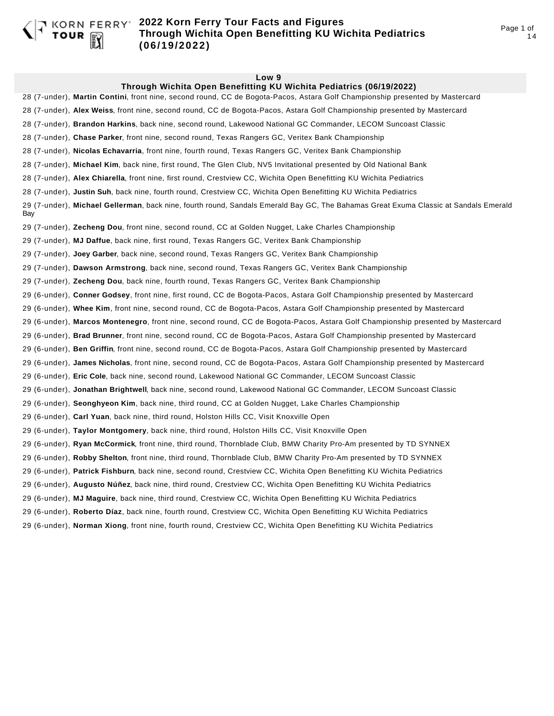|     | Low 9<br>Through Wichita Open Benefitting KU Wichita Pediatrics (06/19/2022)                                                                 |
|-----|----------------------------------------------------------------------------------------------------------------------------------------------|
|     | 28 (7-under), Martin Contini, front nine, second round, CC de Bogota-Pacos, Astara Golf Championship presented by Mastercard                 |
|     | 28 (7-under), Alex Weiss, front nine, second round, CC de Bogota-Pacos, Astara Golf Championship presented by Mastercard                     |
|     | 28 (7-under), <b>Brandon Harkins</b> , back nine, second round, Lakewood National GC Commander, LECOM Suncoast Classic                       |
|     | 28 (7-under), Chase Parker, front nine, second round, Texas Rangers GC, Veritex Bank Championship                                            |
|     | 28 (7-under), <b>Nicolas Echavarria</b> , front nine, fourth round, Texas Rangers GC, Veritex Bank Championship                              |
|     | 28 (7-under), <b>Michael Kim</b> , back nine, first round, The Glen Club, NV5 Invitational presented by Old National Bank                    |
|     | 28 (7-under), Alex Chiarella, front nine, first round, Crestview CC, Wichita Open Benefitting KU Wichita Pediatrics                          |
|     | 28 (7-under), <b>Justin Suh</b> , back nine, fourth round, Crestview CC, Wichita Open Benefitting KU Wichita Pediatrics                      |
| Bay | 29 (7-under), <b>Michael Gellerman</b> , back nine, fourth round, Sandals Emerald Bay GC, The Bahamas Great Exuma Classic at Sandals Emerald |
|     | 29 (7-under), <b>Zecheng Dou</b> , front nine, second round, CC at Golden Nugget, Lake Charles Championship                                  |
|     | 29 (7-under), MJ Daffue, back nine, first round, Texas Rangers GC, Veritex Bank Championship                                                 |
|     | 29 (7-under), <b>Joey Garber</b> , back nine, second round, Texas Rangers GC, Veritex Bank Championship                                      |
|     | 29 (7-under), Dawson Armstrong, back nine, second round, Texas Rangers GC, Veritex Bank Championship                                         |
|     | 29 (7-under), Zecheng Dou, back nine, fourth round, Texas Rangers GC, Veritex Bank Championship                                              |
|     | 29 (6-under), Conner Godsey, front nine, first round, CC de Bogota-Pacos, Astara Golf Championship presented by Mastercard                   |
|     | 29 (6-under), <b>Whee Kim</b> , front nine, second round, CC de Bogota-Pacos, Astara Golf Championship presented by Mastercard               |
|     | 29 (6-under), Marcos Montenegro, front nine, second round, CC de Bogota-Pacos, Astara Golf Championship presented by Mastercard              |
|     | 29 (6-under), <b>Brad Brunner</b> , front nine, second round, CC de Bogota-Pacos, Astara Golf Championship presented by Mastercard           |
|     | 29 (6-under), <b>Ben Griffin</b> , front nine, second round, CC de Bogota-Pacos, Astara Golf Championship presented by Mastercard            |
|     | 29 (6-under), <b>James Nicholas</b> , front nine, second round, CC de Bogota-Pacos, Astara Golf Championship presented by Mastercard         |
|     | 29 (6-under), <b>Eric Cole</b> , back nine, second round, Lakewood National GC Commander, LECOM Suncoast Classic                             |
|     | 29 (6-under), <b>Jonathan Brightwell</b> , back nine, second round, Lakewood National GC Commander, LECOM Suncoast Classic                   |
|     | 29 (6-under), Seonghyeon Kim, back nine, third round, CC at Golden Nugget, Lake Charles Championship                                         |
|     | 29 (6-under), <b>Carl Yuan</b> , back nine, third round, Holston Hills CC, Visit Knoxville Open                                              |
|     | 29 (6-under), <b>Taylor Montgomery</b> , back nine, third round, Holston Hills CC, Visit Knoxville Open                                      |
|     | 29 (6-under), <b>Ryan McCormick</b> , front nine, third round, Thornblade Club, BMW Charity Pro-Am presented by TD SYNNEX                    |
|     | 29 (6-under), <b>Robby Shelton</b> , front nine, third round, Thornblade Club, BMW Charity Pro-Am presented by TD SYNNEX                     |
|     | 29 (6-under), <b>Patrick Fishburn</b> , back nine, second round, Crestview CC, Wichita Open Benefitting KU Wichita Pediatrics                |
|     | 29 (6-under), <b>Augusto Núñez</b> , back nine, third round, Crestview CC, Wichita Open Benefitting KU Wichita Pediatrics                    |
|     | 29 (6-under), <b>MJ Maguire</b> , back nine, third round, Crestview CC, Wichita Open Benefitting KU Wichita Pediatrics                       |
|     | 29 (6-under), <b>Roberto Díaz</b> , back nine, fourth round, Crestview CC, Wichita Open Benefitting KU Wichita Pediatrics                    |
|     | 29 (6-under), Norman Xiong, front nine, fourth round, Crestview CC, Wichita Open Benefitting KU Wichita Pediatrics                           |
|     |                                                                                                                                              |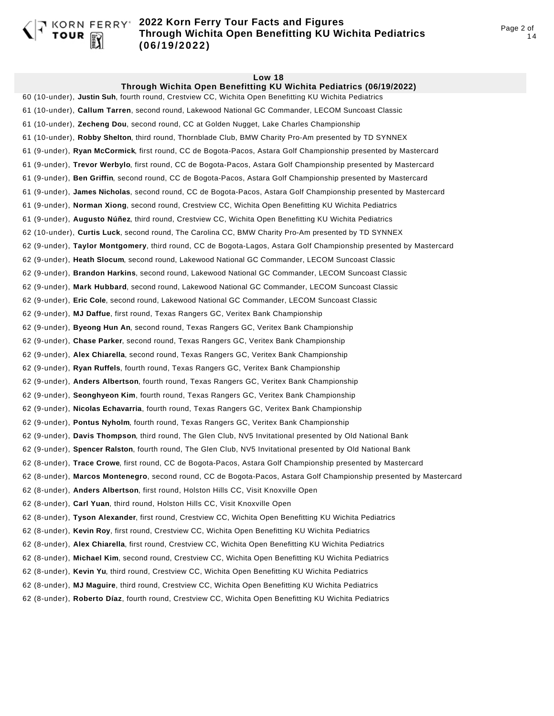# **Low 18**

| Through Wichita Open Benefitting KU Wichita Pediatrics (06/19/2022)                                                 |
|---------------------------------------------------------------------------------------------------------------------|
| 60 (10-under), Justin Suh, fourth round, Crestview CC, Wichita Open Benefitting KU Wichita Pediatrics               |
| 61 (10-under), Callum Tarren, second round, Lakewood National GC Commander, LECOM Suncoast Classic                  |
| 61 (10-under), Zecheng Dou, second round, CC at Golden Nugget, Lake Charles Championship                            |
| 61 (10-under), Robby Shelton, third round, Thornblade Club, BMW Charity Pro-Am presented by TD SYNNEX               |
| 61 (9-under), Ryan McCormick, first round, CC de Bogota-Pacos, Astara Golf Championship presented by Mastercard     |
| 61 (9-under), Trevor Werbylo, first round, CC de Bogota-Pacos, Astara Golf Championship presented by Mastercard     |
| 61 (9-under), Ben Griffin, second round, CC de Bogota-Pacos, Astara Golf Championship presented by Mastercard       |
| 61 (9-under), James Nicholas, second round, CC de Bogota-Pacos, Astara Golf Championship presented by Mastercard    |
| 61 (9-under), Norman Xiong, second round, Crestview CC, Wichita Open Benefitting KU Wichita Pediatrics              |
| 61 (9-under), Augusto Núñez, third round, Crestview CC, Wichita Open Benefitting KU Wichita Pediatrics              |
| 62 (10-under), Curtis Luck, second round, The Carolina CC, BMW Charity Pro-Am presented by TD SYNNEX                |
| 62 (9-under), Taylor Montgomery, third round, CC de Bogota-Lagos, Astara Golf Championship presented by Mastercard  |
| 62 (9-under), Heath Slocum, second round, Lakewood National GC Commander, LECOM Suncoast Classic                    |
| 62 (9-under), Brandon Harkins, second round, Lakewood National GC Commander, LECOM Suncoast Classic                 |
| 62 (9-under), Mark Hubbard, second round, Lakewood National GC Commander, LECOM Suncoast Classic                    |
| 62 (9-under), Eric Cole, second round, Lakewood National GC Commander, LECOM Suncoast Classic                       |
| 62 (9-under), MJ Daffue, first round, Texas Rangers GC, Veritex Bank Championship                                   |
| 62 (9-under), Byeong Hun An, second round, Texas Rangers GC, Veritex Bank Championship                              |
| 62 (9-under), Chase Parker, second round, Texas Rangers GC, Veritex Bank Championship                               |
| 62 (9-under), Alex Chiarella, second round, Texas Rangers GC, Veritex Bank Championship                             |
| 62 (9-under), Ryan Ruffels, fourth round, Texas Rangers GC, Veritex Bank Championship                               |
| 62 (9-under), Anders Albertson, fourth round, Texas Rangers GC, Veritex Bank Championship                           |
| 62 (9-under), Seonghyeon Kim, fourth round, Texas Rangers GC, Veritex Bank Championship                             |
| 62 (9-under), Nicolas Echavarria, fourth round, Texas Rangers GC, Veritex Bank Championship                         |
| 62 (9-under), Pontus Nyholm, fourth round, Texas Rangers GC, Veritex Bank Championship                              |
| 62 (9-under), Davis Thompson, third round, The Glen Club, NV5 Invitational presented by Old National Bank           |
| 62 (9-under), Spencer Ralston, fourth round, The Glen Club, NV5 Invitational presented by Old National Bank         |
| 62 (8-under), Trace Crowe, first round, CC de Bogota-Pacos, Astara Golf Championship presented by Mastercard        |
| 62 (8-under), Marcos Montenegro, second round, CC de Bogota-Pacos, Astara Golf Championship presented by Mastercard |
| 62 (8-under), Anders Albertson, first round, Holston Hills CC, Visit Knoxville Open                                 |
| 62 (8-under), Carl Yuan, third round, Holston Hills CC, Visit Knoxville Open                                        |
| 62 (8-under), Tyson Alexander, first round, Crestview CC, Wichita Open Benefitting KU Wichita Pediatrics            |
| 62 (8-under), Kevin Roy, first round, Crestview CC, Wichita Open Benefitting KU Wichita Pediatrics                  |
| 62 (8-under), Alex Chiarella, first round, Crestview CC, Wichita Open Benefitting KU Wichita Pediatrics             |
| 62 (8-under), Michael Kim, second round, Crestview CC, Wichita Open Benefitting KU Wichita Pediatrics               |
| 62 (8-under), Kevin Yu, third round, Crestview CC, Wichita Open Benefitting KU Wichita Pediatrics                   |
| 62 (8-under), MJ Maguire, third round, Crestview CC, Wichita Open Benefitting KU Wichita Pediatrics                 |
| 62 (8-under), Roberto Díaz, fourth round, Crestview CC, Wichita Open Benefitting KU Wichita Pediatrics              |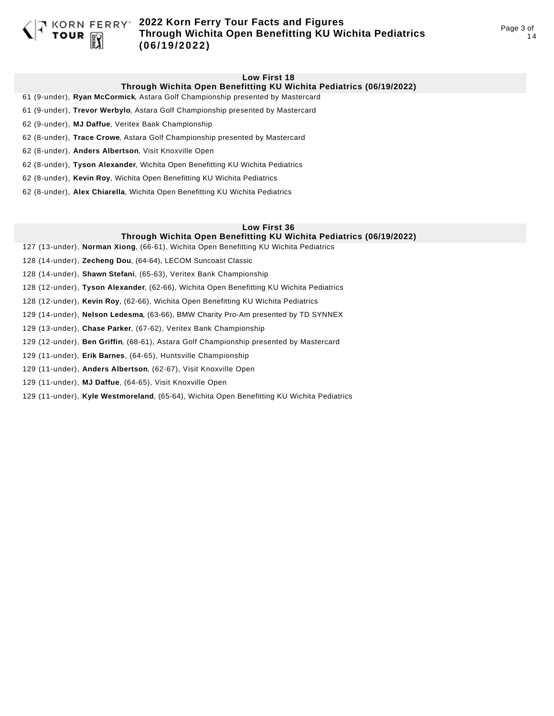#### **Low First 18**

## **Through Wichita Open Benefitting KU Wichita Pediatrics (06/19/2022)**

- 61 (9-under), **Ryan McCormick**, Astara Golf Championship presented by Mastercard
- 61 (9-under), **Trevor Werbylo**, Astara Golf Championship presented by Mastercard
- 62 (9-under), **MJ Daffue**, Veritex Bank Championship

**TOUR** 

- 62 (8-under), **Trace Crowe**, Astara Golf Championship presented by Mastercard
- 62 (8-under), **Anders Albertson**, Visit Knoxville Open
- 62 (8-under), **Tyson Alexander**, Wichita Open Benefitting KU Wichita Pediatrics
- 62 (8-under), **Kevin Roy**, Wichita Open Benefitting KU Wichita Pediatrics
- 62 (8-under), **Alex Chiarella**, Wichita Open Benefitting KU Wichita Pediatrics

#### **Low First 36**

## **Through Wichita Open Benefitting KU Wichita Pediatrics (06/19/2022)**

127 (13-under), **Norman Xiong**, (66-61), Wichita Open Benefitting KU Wichita Pediatrics

- 128 (14-under), **Zecheng Dou**, (64-64), LECOM Suncoast Classic
- 128 (14-under), **Shawn Stefani**, (65-63), Veritex Bank Championship

128 (12-under), **Tyson Alexander**, (62-66), Wichita Open Benefitting KU Wichita Pediatrics

- 128 (12-under), **Kevin Roy**, (62-66), Wichita Open Benefitting KU Wichita Pediatrics
- 129 (14-under), **Nelson Ledesma**, (63-66), BMW Charity Pro-Am presented by TD SYNNEX
- 129 (13-under), **Chase Parker**, (67-62), Veritex Bank Championship

129 (12-under), **Ben Griffin**, (68-61), Astara Golf Championship presented by Mastercard

129 (11-under), **Erik Barnes**, (64-65), Huntsville Championship

129 (11-under), **Anders Albertson**, (62-67), Visit Knoxville Open

129 (11-under), **MJ Daffue**, (64-65), Visit Knoxville Open

129 (11-under), **Kyle Westmoreland**, (65-64), Wichita Open Benefitting KU Wichita Pediatrics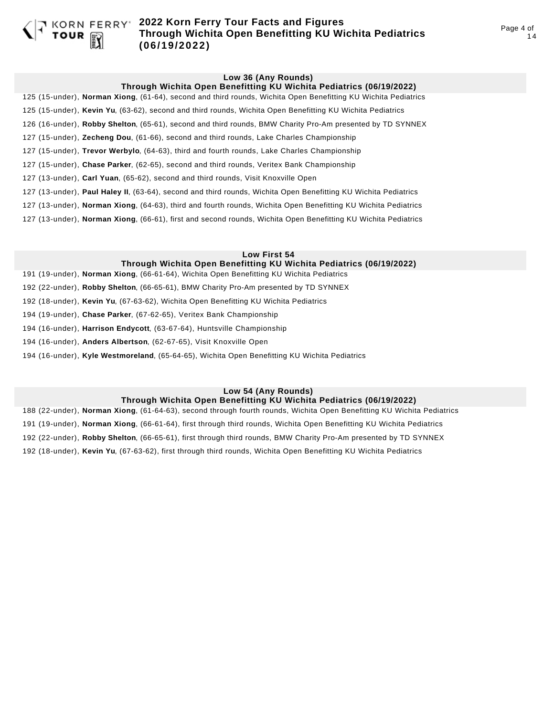#### **Low 36 (Any Rounds)**

**Through Wichita Open Benefitting KU Wichita Pediatrics (06/19/2022)**  125 (15-under), **Norman Xiong**, (61-64), second and third rounds, Wichita Open Benefitting KU Wichita Pediatrics 125 (15-under), **Kevin Yu**, (63-62), second and third rounds, Wichita Open Benefitting KU Wichita Pediatrics 126 (16-under), **Robby Shelton**, (65-61), second and third rounds, BMW Charity Pro-Am presented by TD SYNNEX 127 (15-under), **Zecheng Dou**, (61-66), second and third rounds, Lake Charles Championship 127 (15-under), **Trevor Werbylo**, (64-63), third and fourth rounds, Lake Charles Championship 127 (15-under), **Chase Parker**, (62-65), second and third rounds, Veritex Bank Championship 127 (13-under), **Carl Yuan**, (65-62), second and third rounds, Visit Knoxville Open 127 (13-under), **Paul Haley II**, (63-64), second and third rounds, Wichita Open Benefitting KU Wichita Pediatrics 127 (13-under), **Norman Xiong**, (64-63), third and fourth rounds, Wichita Open Benefitting KU Wichita Pediatrics

127 (13-under), **Norman Xiong**, (66-61), first and second rounds, Wichita Open Benefitting KU Wichita Pediatrics

# **Low First 54**

# **Through Wichita Open Benefitting KU Wichita Pediatrics (06/19/2022)**

191 (19-under), **Norman Xiong**, (66-61-64), Wichita Open Benefitting KU Wichita Pediatrics 192 (22-under), **Robby Shelton**, (66-65-61), BMW Charity Pro-Am presented by TD SYNNEX 192 (18-under), **Kevin Yu**, (67-63-62), Wichita Open Benefitting KU Wichita Pediatrics 194 (19-under), **Chase Parker**, (67-62-65), Veritex Bank Championship 194 (16-under), **Harrison Endycott**, (63-67-64), Huntsville Championship 194 (16-under), **Anders Albertson**, (62-67-65), Visit Knoxville Open

**TOUR** 

194 (16-under), **Kyle Westmoreland**, (65-64-65), Wichita Open Benefitting KU Wichita Pediatrics

# **Low 54 (Any Rounds)**

**Through Wichita Open Benefitting KU Wichita Pediatrics (06/19/2022)**  188 (22-under), **Norman Xiong**, (61-64-63), second through fourth rounds, Wichita Open Benefitting KU Wichita Pediatrics 191 (19-under), **Norman Xiong**, (66-61-64), first through third rounds, Wichita Open Benefitting KU Wichita Pediatrics 192 (22-under), **Robby Shelton**, (66-65-61), first through third rounds, BMW Charity Pro-Am presented by TD SYNNEX 192 (18-under), **Kevin Yu**, (67-63-62), first through third rounds, Wichita Open Benefitting KU Wichita Pediatrics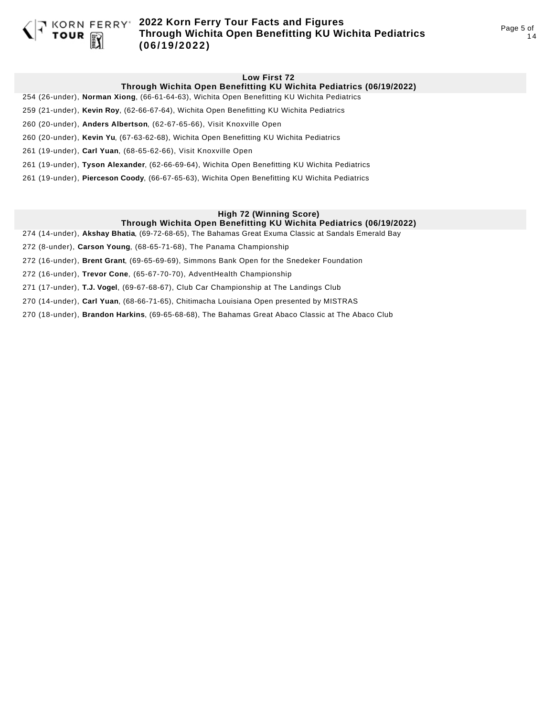#### **Low First 72**

# **Through Wichita Open Benefitting KU Wichita Pediatrics (06/19/2022)**

254 (26-under), **Norman Xiong**, (66-61-64-63), Wichita Open Benefitting KU Wichita Pediatrics

259 (21-under), **Kevin Roy**, (62-66-67-64), Wichita Open Benefitting KU Wichita Pediatrics

- 260 (20-under), **Anders Albertson**, (62-67-65-66), Visit Knoxville Open
- 260 (20-under), **Kevin Yu**, (67-63-62-68), Wichita Open Benefitting KU Wichita Pediatrics
- 261 (19-under), **Carl Yuan**, (68-65-62-66), Visit Knoxville Open

**TOUR** 

- 261 (19-under), **Tyson Alexander**, (62-66-69-64), Wichita Open Benefitting KU Wichita Pediatrics
- 261 (19-under), **Pierceson Coody**, (66-67-65-63), Wichita Open Benefitting KU Wichita Pediatrics

#### **High 72 (Winning Score)**

# **Through Wichita Open Benefitting KU Wichita Pediatrics (06/19/2022)**

274 (14-under), **Akshay Bhatia**, (69-72-68-65), The Bahamas Great Exuma Classic at Sandals Emerald Bay

272 (8-under), **Carson Young**, (68-65-71-68), The Panama Championship

272 (16-under), **Brent Grant**, (69-65-69-69), Simmons Bank Open for the Snedeker Foundation

272 (16-under), **Trevor Cone**, (65-67-70-70), AdventHealth Championship

271 (17-under), **T.J. Vogel**, (69-67-68-67), Club Car Championship at The Landings Club

270 (14-under), **Carl Yuan**, (68-66-71-65), Chitimacha Louisiana Open presented by MISTRAS

270 (18-under), **Brandon Harkins**, (69-65-68-68), The Bahamas Great Abaco Classic at The Abaco Club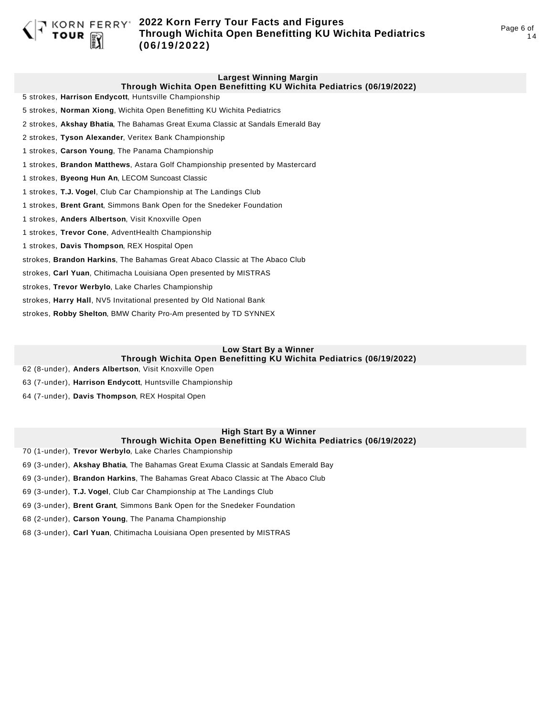**Through Wichita Open Benefitting KU Wichita Pediatrics (06/19/2022)**  5 strokes, **Harrison Endycott**, Huntsville Championship

- 5 strokes, **Norman Xiong**, Wichita Open Benefitting KU Wichita Pediatrics
- 2 strokes, **Akshay Bhatia**, The Bahamas Great Exuma Classic at Sandals Emerald Bay
- 2 strokes, **Tyson Alexander**, Veritex Bank Championship
- 1 strokes, **Carson Young**, The Panama Championship

**TOUR** 

- 1 strokes, **Brandon Matthews**, Astara Golf Championship presented by Mastercard
- 1 strokes, **Byeong Hun An**, LECOM Suncoast Classic
- 1 strokes, **T.J. Vogel**, Club Car Championship at The Landings Club
- 1 strokes, **Brent Grant**, Simmons Bank Open for the Snedeker Foundation
- 1 strokes, **Anders Albertson**, Visit Knoxville Open
- 1 strokes, **Trevor Cone**, AdventHealth Championship
- 1 strokes, **Davis Thompson**, REX Hospital Open
- strokes, **Brandon Harkins**, The Bahamas Great Abaco Classic at The Abaco Club
- strokes, **Carl Yuan**, Chitimacha Louisiana Open presented by MISTRAS
- strokes, **Trevor Werbylo**, Lake Charles Championship
- strokes, **Harry Hall**, NV5 Invitational presented by Old National Bank
- strokes, **Robby Shelton**, BMW Charity Pro-Am presented by TD SYNNEX

#### **Low Start By a Winner**

#### **Through Wichita Open Benefitting KU Wichita Pediatrics (06/19/2022)**

62 (8-under), **Anders Albertson**, Visit Knoxville Open

- 63 (7-under), **Harrison Endycott**, Huntsville Championship
- 64 (7-under), **Davis Thompson**, REX Hospital Open

# **High Start By a Winner**

#### **Through Wichita Open Benefitting KU Wichita Pediatrics (06/19/2022)**

- 70 (1-under), **Trevor Werbylo**, Lake Charles Championship
- 69 (3-under), **Akshay Bhatia**, The Bahamas Great Exuma Classic at Sandals Emerald Bay
- 69 (3-under), **Brandon Harkins**, The Bahamas Great Abaco Classic at The Abaco Club
- 69 (3-under), **T.J. Vogel**, Club Car Championship at The Landings Club
- 69 (3-under), **Brent Grant**, Simmons Bank Open for the Snedeker Foundation
- 68 (2-under), **Carson Young**, The Panama Championship
- 68 (3-under), **Carl Yuan**, Chitimacha Louisiana Open presented by MISTRAS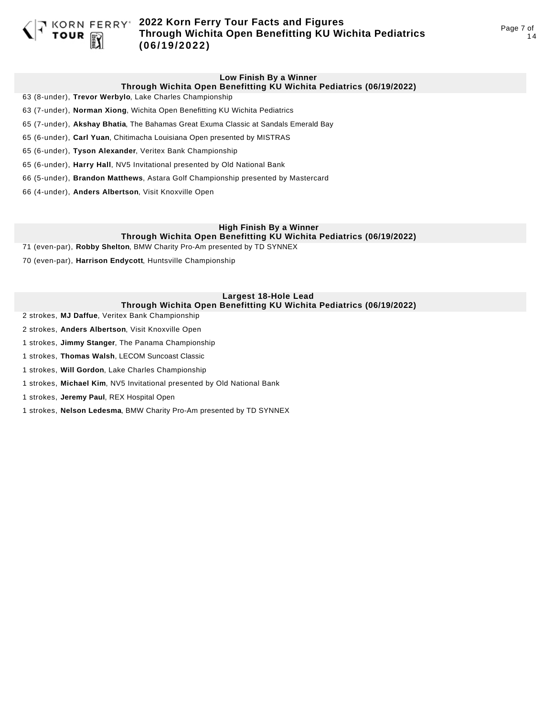#### **Low Finish By a Winner**

**Through Wichita Open Benefitting KU Wichita Pediatrics (06/19/2022)** 

63 (8-under), **Trevor Werbylo**, Lake Charles Championship

TOUR

- 63 (7-under), **Norman Xiong**, Wichita Open Benefitting KU Wichita Pediatrics
- 65 (7-under), **Akshay Bhatia**, The Bahamas Great Exuma Classic at Sandals Emerald Bay
- 65 (6-under), **Carl Yuan**, Chitimacha Louisiana Open presented by MISTRAS
- 65 (6-under), **Tyson Alexander**, Veritex Bank Championship
- 65 (6-under), **Harry Hall**, NV5 Invitational presented by Old National Bank
- 66 (5-under), **Brandon Matthews**, Astara Golf Championship presented by Mastercard
- 66 (4-under), **Anders Albertson**, Visit Knoxville Open

#### **High Finish By a Winner**

**Through Wichita Open Benefitting KU Wichita Pediatrics (06/19/2022)** 

71 (even-par), **Robby Shelton**, BMW Charity Pro-Am presented by TD SYNNEX

70 (even-par), **Harrison Endycott**, Huntsville Championship

#### **Largest 18-Hole Lead Through Wichita Open Benefitting KU Wichita Pediatrics (06/19/2022)**

2 strokes, **MJ Daffue**, Veritex Bank Championship

2 strokes, **Anders Albertson**, Visit Knoxville Open

1 strokes, **Jimmy Stanger**, The Panama Championship

1 strokes, **Thomas Walsh**, LECOM Suncoast Classic

1 strokes, **Will Gordon**, Lake Charles Championship

1 strokes, **Michael Kim**, NV5 Invitational presented by Old National Bank

1 strokes, **Jeremy Paul**, REX Hospital Open

1 strokes, **Nelson Ledesma**, BMW Charity Pro-Am presented by TD SYNNEX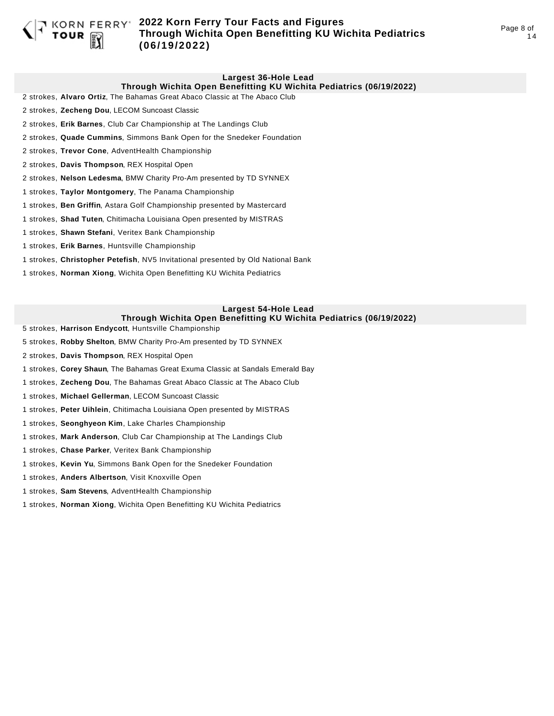**Through Wichita Open Benefitting KU Wichita Pediatrics (06/19/2022)** 

2 strokes, **Alvaro Ortiz**, The Bahamas Great Abaco Classic at The Abaco Club

2 strokes, **Zecheng Dou**, LECOM Suncoast Classic

**TOUR** 

2 strokes, **Erik Barnes**, Club Car Championship at The Landings Club

2 strokes, **Quade Cummins**, Simmons Bank Open for the Snedeker Foundation

2 strokes, **Trevor Cone**, AdventHealth Championship

2 strokes, **Davis Thompson**, REX Hospital Open

2 strokes, **Nelson Ledesma**, BMW Charity Pro-Am presented by TD SYNNEX

1 strokes, **Taylor Montgomery**, The Panama Championship

1 strokes, **Ben Griffin**, Astara Golf Championship presented by Mastercard

1 strokes, **Shad Tuten**, Chitimacha Louisiana Open presented by MISTRAS

1 strokes, **Shawn Stefani**, Veritex Bank Championship

1 strokes, **Erik Barnes**, Huntsville Championship

1 strokes, **Christopher Petefish**, NV5 Invitational presented by Old National Bank

1 strokes, **Norman Xiong**, Wichita Open Benefitting KU Wichita Pediatrics

# **Largest 54-Hole Lead**

#### **Through Wichita Open Benefitting KU Wichita Pediatrics (06/19/2022)**

5 strokes, **Harrison Endycott**, Huntsville Championship

5 strokes, **Robby Shelton**, BMW Charity Pro-Am presented by TD SYNNEX

2 strokes, **Davis Thompson**, REX Hospital Open

- 1 strokes, **Corey Shaun**, The Bahamas Great Exuma Classic at Sandals Emerald Bay
- 1 strokes, **Zecheng Dou**, The Bahamas Great Abaco Classic at The Abaco Club
- 1 strokes, **Michael Gellerman**, LECOM Suncoast Classic
- 1 strokes, **Peter Uihlein**, Chitimacha Louisiana Open presented by MISTRAS
- 1 strokes, **Seonghyeon Kim**, Lake Charles Championship
- 1 strokes, **Mark Anderson**, Club Car Championship at The Landings Club
- 1 strokes, **Chase Parker**, Veritex Bank Championship
- 1 strokes, **Kevin Yu**, Simmons Bank Open for the Snedeker Foundation
- 1 strokes, **Anders Albertson**, Visit Knoxville Open
- 1 strokes, **Sam Stevens**, AdventHealth Championship
- 1 strokes, **Norman Xiong**, Wichita Open Benefitting KU Wichita Pediatrics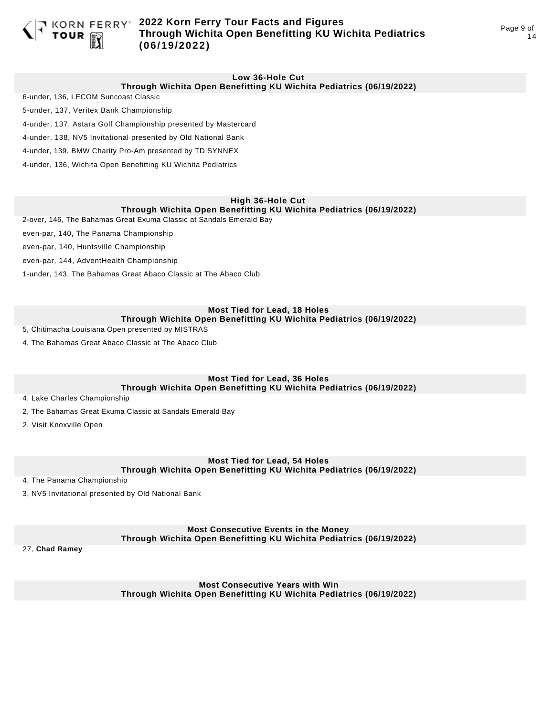#### **Low 36-Hole Cut**

#### **Through Wichita Open Benefitting KU Wichita Pediatrics (06/19/2022)**

6-under, 136, LECOM Suncoast Classic

TOUR

5-under, 137, Veritex Bank Championship

4-under, 137, Astara Golf Championship presented by Mastercard

4-under, 138, NV5 Invitational presented by Old National Bank

4-under, 139, BMW Charity Pro-Am presented by TD SYNNEX

4-under, 136, Wichita Open Benefitting KU Wichita Pediatrics

#### **High 36-Hole Cut**

#### **Through Wichita Open Benefitting KU Wichita Pediatrics (06/19/2022)**

2-over, 146, The Bahamas Great Exuma Classic at Sandals Emerald Bay

even-par, 140, The Panama Championship

even-par, 140, Huntsville Championship

even-par, 144, AdventHealth Championship

1-under, 143, The Bahamas Great Abaco Classic at The Abaco Club

#### **Most Tied for Lead, 18 Holes**

**Through Wichita Open Benefitting KU Wichita Pediatrics (06/19/2022)** 

5, Chitimacha Louisiana Open presented by MISTRAS

4, The Bahamas Great Abaco Classic at The Abaco Club

#### **Most Tied for Lead, 36 Holes Through Wichita Open Benefitting KU Wichita Pediatrics (06/19/2022)**

4, Lake Charles Championship

2, The Bahamas Great Exuma Classic at Sandals Emerald Bay

2, Visit Knoxville Open

# **Most Tied for Lead, 54 Holes**

**Through Wichita Open Benefitting KU Wichita Pediatrics (06/19/2022)** 

4, The Panama Championship

3, NV5 Invitational presented by Old National Bank

**Most Consecutive Events in the Money Through Wichita Open Benefitting KU Wichita Pediatrics (06/19/2022)** 

27, **Chad Ramey**

**Most Consecutive Years with Win Through Wichita Open Benefitting KU Wichita Pediatrics (06/19/2022)**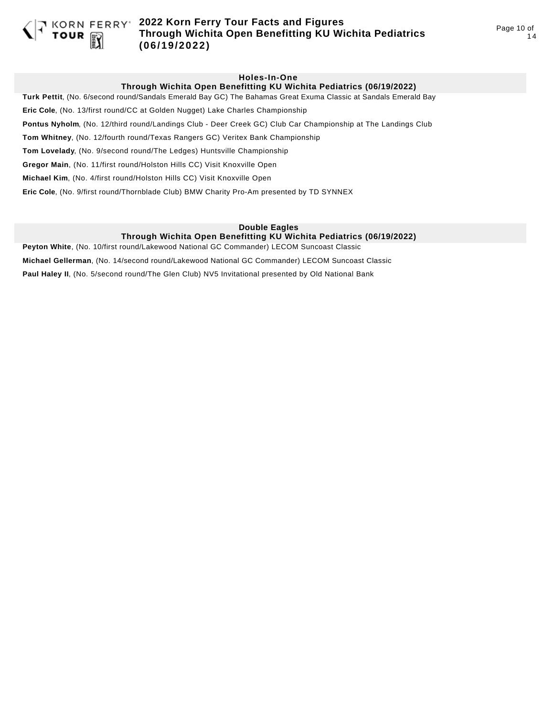#### **Holes-In-One**

# **Through Wichita Open Benefitting KU Wichita Pediatrics (06/19/2022)**

**Turk Pettit**, (No. 6/second round/Sandals Emerald Bay GC) The Bahamas Great Exuma Classic at Sandals Emerald Bay **Eric Cole**, (No. 13/first round/CC at Golden Nugget) Lake Charles Championship **Pontus Nyholm**, (No. 12/third round/Landings Club - Deer Creek GC) Club Car Championship at The Landings Club **Tom Whitney**, (No. 12/fourth round/Texas Rangers GC) Veritex Bank Championship **Tom Lovelady**, (No. 9/second round/The Ledges) Huntsville Championship **Gregor Main**, (No. 11/first round/Holston Hills CC) Visit Knoxville Open **Michael Kim**, (No. 4/first round/Holston Hills CC) Visit Knoxville Open **Eric Cole**, (No. 9/first round/Thornblade Club) BMW Charity Pro-Am presented by TD SYNNEX

#### **Double Eagles**

**Through Wichita Open Benefitting KU Wichita Pediatrics (06/19/2022)** 

**Peyton White**, (No. 10/first round/Lakewood National GC Commander) LECOM Suncoast Classic **Michael Gellerman**, (No. 14/second round/Lakewood National GC Commander) LECOM Suncoast Classic **Paul Haley II**, (No. 5/second round/The Glen Club) NV5 Invitational presented by Old National Bank

**TOUR**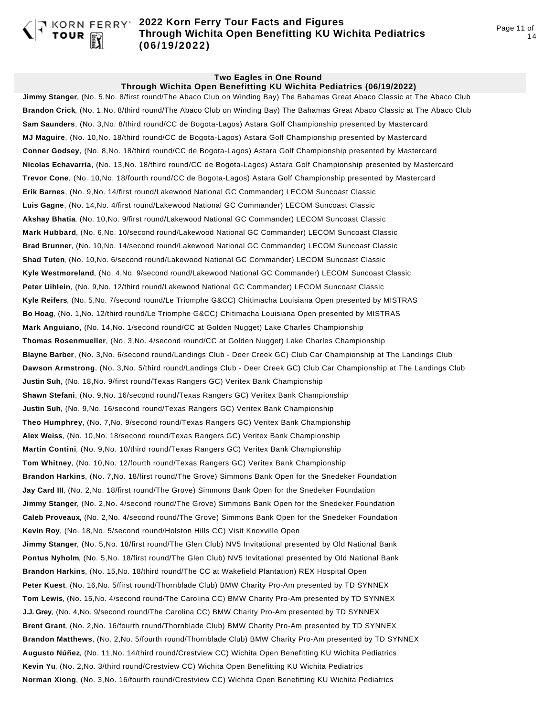#### **Two Eagles in One Round**

TOUR<sup></sup>

**Through Wichita Open Benefitting KU Wichita Pediatrics (06/19/2022) Jimmy Stanger**, (No. 5,No. 8/first round/The Abaco Club on Winding Bay) The Bahamas Great Abaco Classic at The Abaco Club **Brandon Crick**, (No. 1,No. 8/third round/The Abaco Club on Winding Bay) The Bahamas Great Abaco Classic at The Abaco Club **Sam Saunders**, (No. 3,No. 8/third round/CC de Bogota-Lagos) Astara Golf Championship presented by Mastercard **MJ Maguire**, (No. 10,No. 18/third round/CC de Bogota-Lagos) Astara Golf Championship presented by Mastercard **Conner Godsey**, (No. 8,No. 18/third round/CC de Bogota-Lagos) Astara Golf Championship presented by Mastercard **Nicolas Echavarria**, (No. 13,No. 18/third round/CC de Bogota-Lagos) Astara Golf Championship presented by Mastercard **Trevor Cone**, (No. 10,No. 18/fourth round/CC de Bogota-Lagos) Astara Golf Championship presented by Mastercard **Erik Barnes**, (No. 9,No. 14/first round/Lakewood National GC Commander) LECOM Suncoast Classic **Luis Gagne**, (No. 14,No. 4/first round/Lakewood National GC Commander) LECOM Suncoast Classic **Akshay Bhatia**, (No. 10,No. 9/first round/Lakewood National GC Commander) LECOM Suncoast Classic **Mark Hubbard**, (No. 6,No. 10/second round/Lakewood National GC Commander) LECOM Suncoast Classic **Brad Brunner**, (No. 10,No. 14/second round/Lakewood National GC Commander) LECOM Suncoast Classic **Shad Tuten**, (No. 10,No. 6/second round/Lakewood National GC Commander) LECOM Suncoast Classic **Kyle Westmoreland**, (No. 4,No. 9/second round/Lakewood National GC Commander) LECOM Suncoast Classic **Peter Uihlein**, (No. 9,No. 12/third round/Lakewood National GC Commander) LECOM Suncoast Classic **Kyle Reifers**, (No. 5,No. 7/second round/Le Triomphe G&CC) Chitimacha Louisiana Open presented by MISTRAS **Bo Hoag**, (No. 1,No. 12/third round/Le Triomphe G&CC) Chitimacha Louisiana Open presented by MISTRAS **Mark Anguiano**, (No. 14,No. 1/second round/CC at Golden Nugget) Lake Charles Championship **Thomas Rosenmueller**, (No. 3,No. 4/second round/CC at Golden Nugget) Lake Charles Championship **Blayne Barber**, (No. 3,No. 6/second round/Landings Club - Deer Creek GC) Club Car Championship at The Landings Club **Dawson Armstrong**, (No. 3,No. 5/third round/Landings Club - Deer Creek GC) Club Car Championship at The Landings Club **Justin Suh**, (No. 18,No. 9/first round/Texas Rangers GC) Veritex Bank Championship **Shawn Stefani**, (No. 9,No. 16/second round/Texas Rangers GC) Veritex Bank Championship **Justin Suh**, (No. 9,No. 16/second round/Texas Rangers GC) Veritex Bank Championship **Theo Humphrey**, (No. 7,No. 9/second round/Texas Rangers GC) Veritex Bank Championship **Alex Weiss**, (No. 10,No. 18/second round/Texas Rangers GC) Veritex Bank Championship **Martin Contini**, (No. 9,No. 10/third round/Texas Rangers GC) Veritex Bank Championship **Tom Whitney**, (No. 10,No. 12/fourth round/Texas Rangers GC) Veritex Bank Championship **Brandon Harkins**, (No. 7,No. 18/first round/The Grove) Simmons Bank Open for the Snedeker Foundation **Jay Card III**, (No. 2,No. 18/first round/The Grove) Simmons Bank Open for the Snedeker Foundation **Jimmy Stanger**, (No. 2,No. 4/second round/The Grove) Simmons Bank Open for the Snedeker Foundation **Caleb Proveaux**, (No. 2,No. 4/second round/The Grove) Simmons Bank Open for the Snedeker Foundation **Kevin Roy**, (No. 18,No. 5/second round/Holston Hills CC) Visit Knoxville Open **Jimmy Stanger**, (No. 5,No. 18/first round/The Glen Club) NV5 Invitational presented by Old National Bank **Pontus Nyholm**, (No. 5,No. 18/first round/The Glen Club) NV5 Invitational presented by Old National Bank **Brandon Harkins**, (No. 15,No. 18/third round/The CC at Wakefield Plantation) REX Hospital Open **Peter Kuest**, (No. 16,No. 5/first round/Thornblade Club) BMW Charity Pro-Am presented by TD SYNNEX **Tom Lewis**, (No. 15,No. 4/second round/The Carolina CC) BMW Charity Pro-Am presented by TD SYNNEX **J.J. Grey**, (No. 4,No. 9/second round/The Carolina CC) BMW Charity Pro-Am presented by TD SYNNEX **Brent Grant**, (No. 2,No. 16/fourth round/Thornblade Club) BMW Charity Pro-Am presented by TD SYNNEX **Brandon Matthews**, (No. 2,No. 5/fourth round/Thornblade Club) BMW Charity Pro-Am presented by TD SYNNEX **Augusto Núñez**, (No. 11,No. 14/third round/Crestview CC) Wichita Open Benefitting KU Wichita Pediatrics **Kevin Yu**, (No. 2,No. 3/third round/Crestview CC) Wichita Open Benefitting KU Wichita Pediatrics **Norman Xiong**, (No. 3,No. 16/fourth round/Crestview CC) Wichita Open Benefitting KU Wichita Pediatrics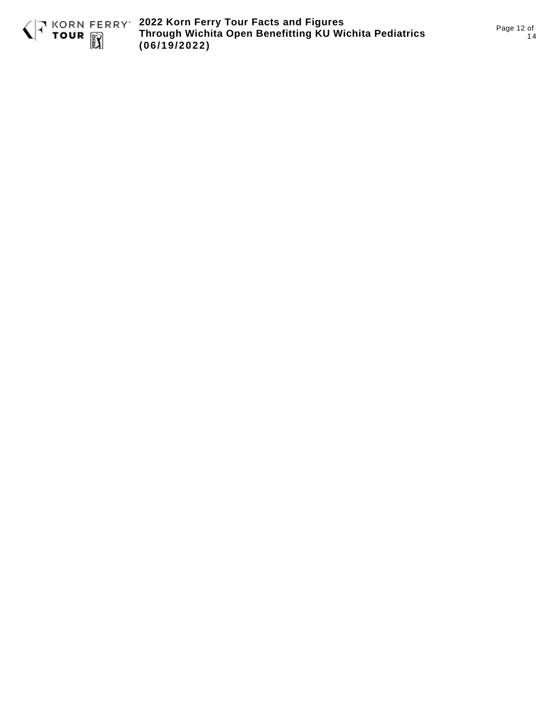

**2022 Korn Ferry Tour Facts and Figures Through Wichita Open Benefitting KU Wichita Pediatrics (06/19/2022)**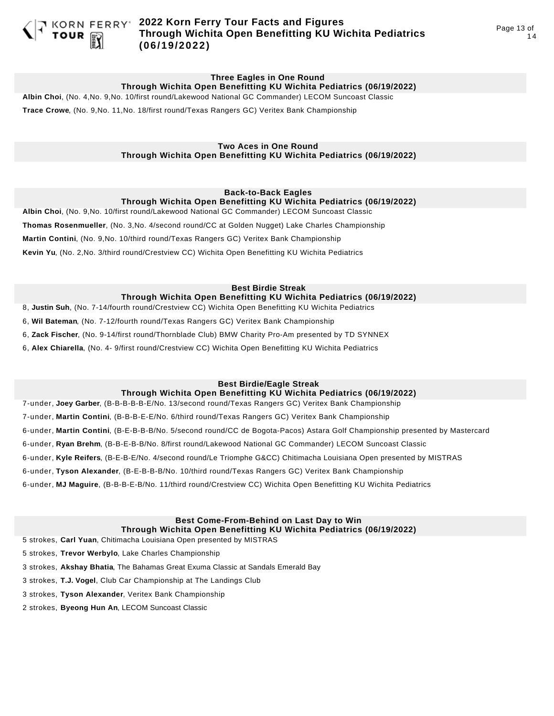

#### **Three Eagles in One Round**

#### **Through Wichita Open Benefitting KU Wichita Pediatrics (06/19/2022)**

**Albin Choi**, (No. 4,No. 9,No. 10/first round/Lakewood National GC Commander) LECOM Suncoast Classic

**Trace Crowe**, (No. 9,No. 11,No. 18/first round/Texas Rangers GC) Veritex Bank Championship

#### **Two Aces in One Round Through Wichita Open Benefitting KU Wichita Pediatrics (06/19/2022)**

# **Back-to-Back Eagles**

#### **Through Wichita Open Benefitting KU Wichita Pediatrics (06/19/2022)**

**Albin Choi**, (No. 9,No. 10/first round/Lakewood National GC Commander) LECOM Suncoast Classic **Thomas Rosenmueller**, (No. 3,No. 4/second round/CC at Golden Nugget) Lake Charles Championship

**Martin Contini**, (No. 9,No. 10/third round/Texas Rangers GC) Veritex Bank Championship

**Kevin Yu**, (No. 2,No. 3/third round/Crestview CC) Wichita Open Benefitting KU Wichita Pediatrics

#### **Best Birdie Streak**

# **Through Wichita Open Benefitting KU Wichita Pediatrics (06/19/2022)**

8, **Justin Suh**, (No. 7-14/fourth round/Crestview CC) Wichita Open Benefitting KU Wichita Pediatrics

- 6, **Wil Bateman**, (No. 7-12/fourth round/Texas Rangers GC) Veritex Bank Championship
- 6, **Zack Fischer**, (No. 9-14/first round/Thornblade Club) BMW Charity Pro-Am presented by TD SYNNEX
- 6, **Alex Chiarella**, (No. 4- 9/first round/Crestview CC) Wichita Open Benefitting KU Wichita Pediatrics

#### **Best Birdie/Eagle Streak**

# **Through Wichita Open Benefitting KU Wichita Pediatrics (06/19/2022)**  7-under, **Joey Garber**, (B-B-B-B-B-E/No. 13/second round/Texas Rangers GC) Veritex Bank Championship 7-under, **Martin Contini**, (B-B-B-E-E/No. 6/third round/Texas Rangers GC) Veritex Bank Championship 6-under, **Martin Contini**, (B-E-B-B-B/No. 5/second round/CC de Bogota-Pacos) Astara Golf Championship presented by Mastercard 6-under, **Ryan Brehm**, (B-B-E-B-B/No. 8/first round/Lakewood National GC Commander) LECOM Suncoast Classic 6-under, **Kyle Reifers**, (B-E-B-E/No. 4/second round/Le Triomphe G&CC) Chitimacha Louisiana Open presented by MISTRAS 6-under, **Tyson Alexander**, (B-E-B-B-B/No. 10/third round/Texas Rangers GC) Veritex Bank Championship 6-under, **MJ Maguire**, (B-B-B-E-B/No. 11/third round/Crestview CC) Wichita Open Benefitting KU Wichita Pediatrics

#### **Best Come-From-Behind on Last Day to Win Through Wichita Open Benefitting KU Wichita Pediatrics (06/19/2022)**

5 strokes, **Carl Yuan**, Chitimacha Louisiana Open presented by MISTRAS

5 strokes, **Trevor Werbylo**, Lake Charles Championship

3 strokes, **Akshay Bhatia**, The Bahamas Great Exuma Classic at Sandals Emerald Bay

3 strokes, **T.J. Vogel**, Club Car Championship at The Landings Club

3 strokes, **Tyson Alexander**, Veritex Bank Championship

2 strokes, **Byeong Hun An**, LECOM Suncoast Classic